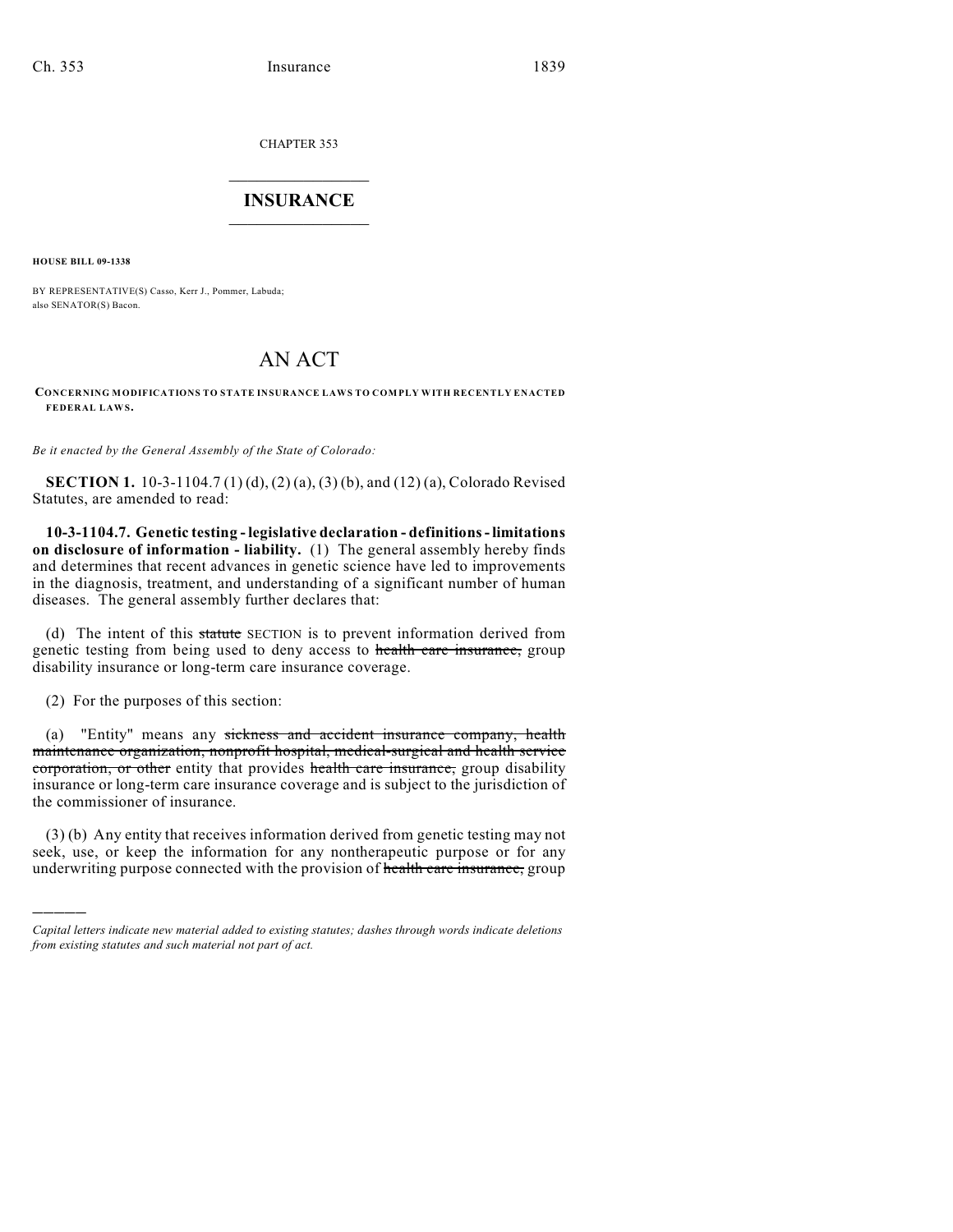CHAPTER 353

## $\mathcal{L}_\text{max}$  . The set of the set of the set of the set of the set of the set of the set of the set of the set of the set of the set of the set of the set of the set of the set of the set of the set of the set of the set **INSURANCE**  $\frac{1}{2}$  ,  $\frac{1}{2}$  ,  $\frac{1}{2}$  ,  $\frac{1}{2}$  ,  $\frac{1}{2}$  ,  $\frac{1}{2}$  ,  $\frac{1}{2}$

**HOUSE BILL 09-1338**

BY REPRESENTATIVE(S) Casso, Kerr J., Pommer, Labuda; also SENATOR(S) Bacon.

# AN ACT

#### **CONCERNING MODIFICATIONS TO STATE INSURANCE LAWS TO COMPLY WITH RECENTLY ENACTED FEDERAL LAWS.**

*Be it enacted by the General Assembly of the State of Colorado:*

**SECTION 1.** 10-3-1104.7 (1) (d), (2) (a), (3) (b), and (12) (a), Colorado Revised Statutes, are amended to read:

**10-3-1104.7. Genetic testing - legislative declaration - definitions - limitations on disclosure of information - liability.** (1) The general assembly hereby finds and determines that recent advances in genetic science have led to improvements in the diagnosis, treatment, and understanding of a significant number of human diseases. The general assembly further declares that:

(d) The intent of this statute SECTION is to prevent information derived from genetic testing from being used to deny access to health care insurance, group disability insurance or long-term care insurance coverage.

(2) For the purposes of this section:

)))))

(a) "Entity" means any sickness and accident insurance company, health maintenance organization, nonprofit hospital, medical-surgical and health service corporation, or other entity that provides health care insurance, group disability insurance or long-term care insurance coverage and is subject to the jurisdiction of the commissioner of insurance.

(3) (b) Any entity that receives information derived from genetic testing may not seek, use, or keep the information for any nontherapeutic purpose or for any underwriting purpose connected with the provision of health care insurance, group

*Capital letters indicate new material added to existing statutes; dashes through words indicate deletions from existing statutes and such material not part of act.*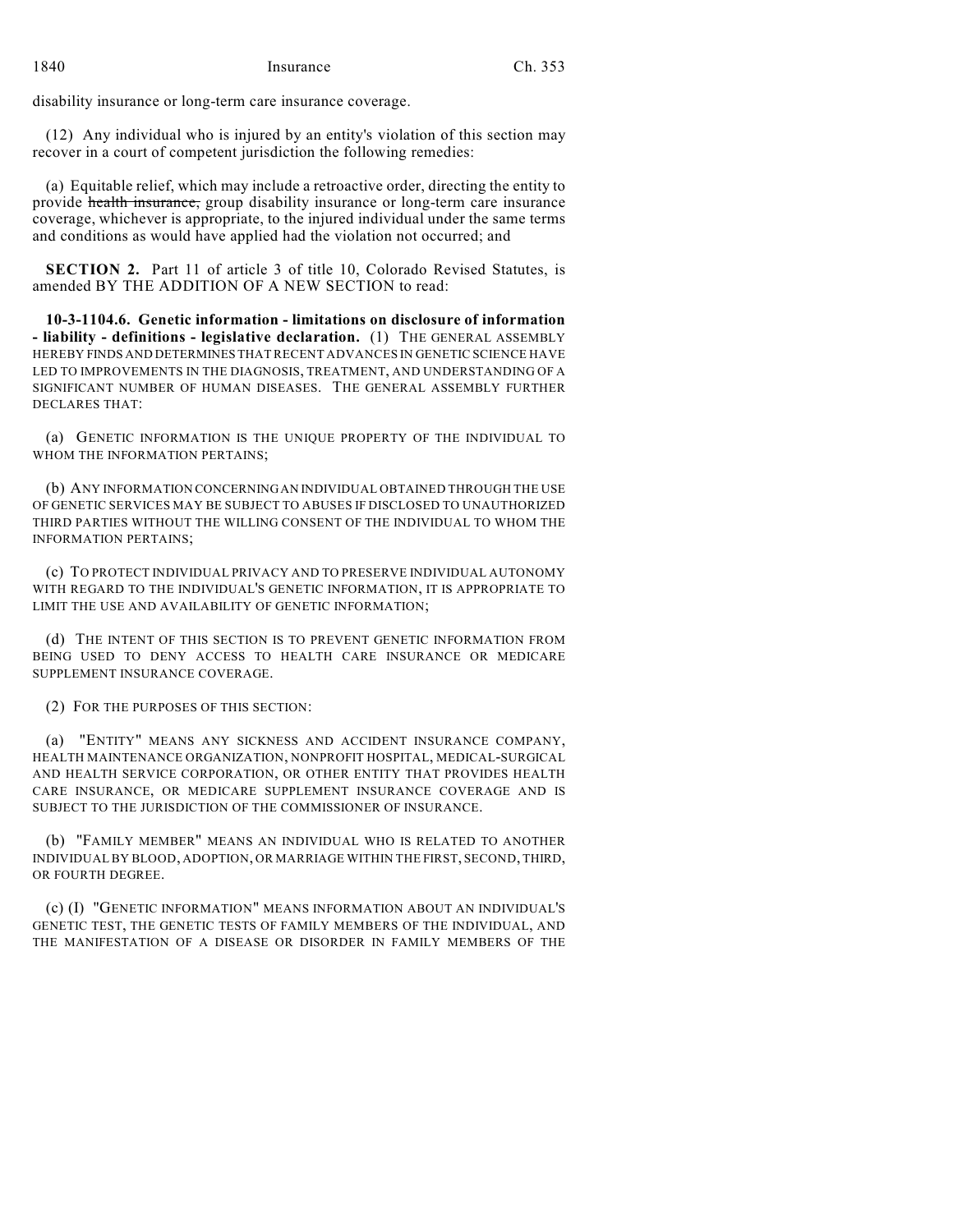disability insurance or long-term care insurance coverage.

(12) Any individual who is injured by an entity's violation of this section may recover in a court of competent jurisdiction the following remedies:

(a) Equitable relief, which may include a retroactive order, directing the entity to provide health insurance, group disability insurance or long-term care insurance coverage, whichever is appropriate, to the injured individual under the same terms and conditions as would have applied had the violation not occurred; and

**SECTION 2.** Part 11 of article 3 of title 10, Colorado Revised Statutes, is amended BY THE ADDITION OF A NEW SECTION to read:

**10-3-1104.6. Genetic information - limitations on disclosure of information - liability - definitions - legislative declaration.** (1) THE GENERAL ASSEMBLY HEREBY FINDS AND DETERMINES THAT RECENT ADVANCES IN GENETIC SCIENCE HAVE LED TO IMPROVEMENTS IN THE DIAGNOSIS, TREATMENT, AND UNDERSTANDING OF A SIGNIFICANT NUMBER OF HUMAN DISEASES. THE GENERAL ASSEMBLY FURTHER DECLARES THAT:

(a) GENETIC INFORMATION IS THE UNIQUE PROPERTY OF THE INDIVIDUAL TO WHOM THE INFORMATION PERTAINS;

(b) ANY INFORMATION CONCERNING AN INDIVIDUAL OBTAINED THROUGH THE USE OF GENETIC SERVICES MAY BE SUBJECT TO ABUSES IF DISCLOSED TO UNAUTHORIZED THIRD PARTIES WITHOUT THE WILLING CONSENT OF THE INDIVIDUAL TO WHOM THE INFORMATION PERTAINS;

(c) TO PROTECT INDIVIDUAL PRIVACY AND TO PRESERVE INDIVIDUAL AUTONOMY WITH REGARD TO THE INDIVIDUAL'S GENETIC INFORMATION, IT IS APPROPRIATE TO LIMIT THE USE AND AVAILABILITY OF GENETIC INFORMATION;

(d) THE INTENT OF THIS SECTION IS TO PREVENT GENETIC INFORMATION FROM BEING USED TO DENY ACCESS TO HEALTH CARE INSURANCE OR MEDICARE SUPPLEMENT INSURANCE COVERAGE.

(2) FOR THE PURPOSES OF THIS SECTION:

(a) "ENTITY" MEANS ANY SICKNESS AND ACCIDENT INSURANCE COMPANY, HEALTH MAINTENANCE ORGANIZATION, NONPROFIT HOSPITAL, MEDICAL-SURGICAL AND HEALTH SERVICE CORPORATION, OR OTHER ENTITY THAT PROVIDES HEALTH CARE INSURANCE, OR MEDICARE SUPPLEMENT INSURANCE COVERAGE AND IS SUBJECT TO THE JURISDICTION OF THE COMMISSIONER OF INSURANCE.

(b) "FAMILY MEMBER" MEANS AN INDIVIDUAL WHO IS RELATED TO ANOTHER INDIVIDUAL BY BLOOD, ADOPTION, OR MARRIAGE WITHIN THE FIRST, SECOND, THIRD, OR FOURTH DEGREE.

(c) (I) "GENETIC INFORMATION" MEANS INFORMATION ABOUT AN INDIVIDUAL'S GENETIC TEST, THE GENETIC TESTS OF FAMILY MEMBERS OF THE INDIVIDUAL, AND THE MANIFESTATION OF A DISEASE OR DISORDER IN FAMILY MEMBERS OF THE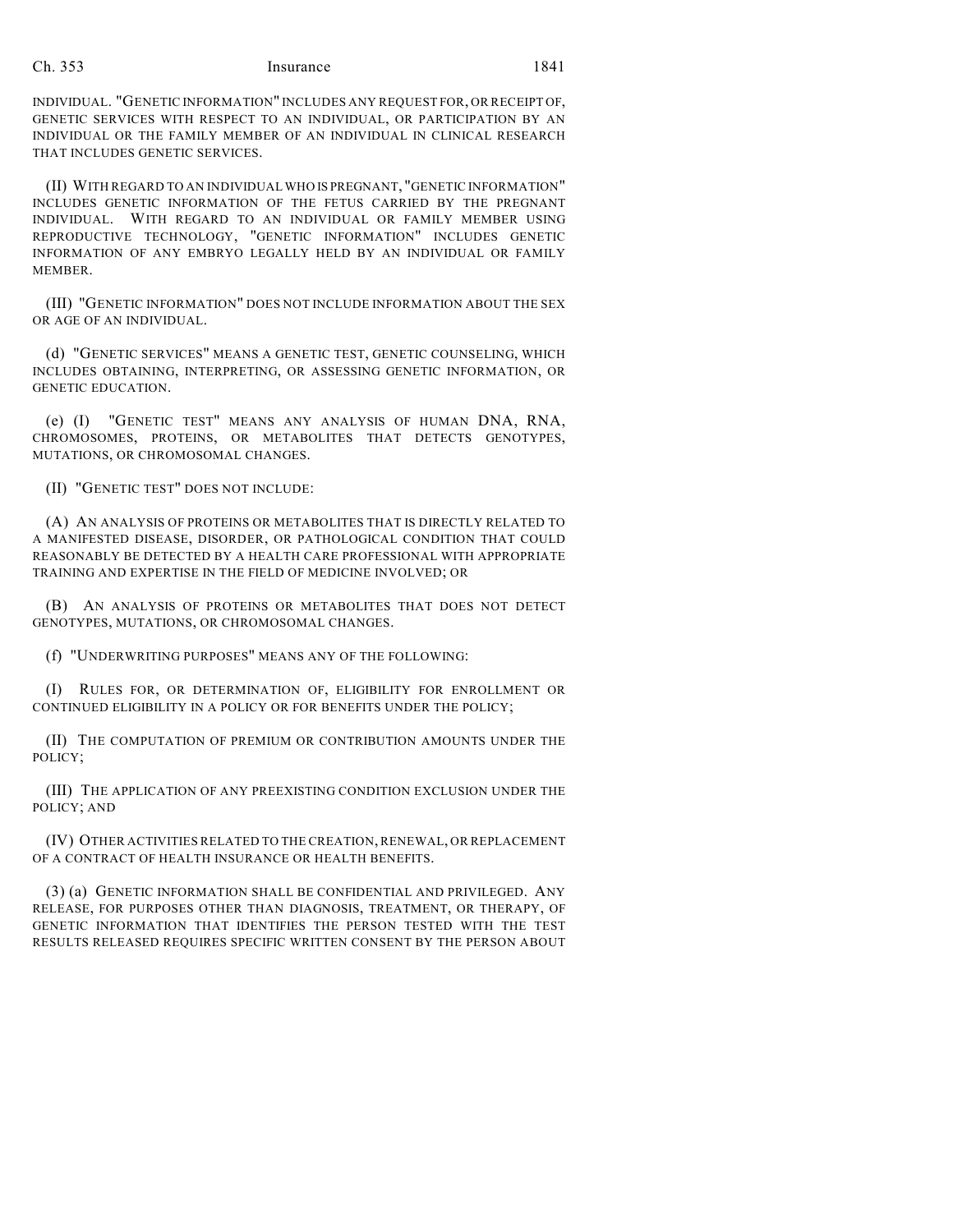#### Ch. 353 Insurance 1841

INDIVIDUAL. "GENETIC INFORMATION" INCLUDES ANY REQUEST FOR, OR RECEIPT OF, GENETIC SERVICES WITH RESPECT TO AN INDIVIDUAL, OR PARTICIPATION BY AN INDIVIDUAL OR THE FAMILY MEMBER OF AN INDIVIDUAL IN CLINICAL RESEARCH THAT INCLUDES GENETIC SERVICES.

(II) WITH REGARD TO AN INDIVIDUAL WHO IS PREGNANT, "GENETIC INFORMATION" INCLUDES GENETIC INFORMATION OF THE FETUS CARRIED BY THE PREGNANT INDIVIDUAL. WITH REGARD TO AN INDIVIDUAL OR FAMILY MEMBER USING REPRODUCTIVE TECHNOLOGY, "GENETIC INFORMATION" INCLUDES GENETIC INFORMATION OF ANY EMBRYO LEGALLY HELD BY AN INDIVIDUAL OR FAMILY **MEMBER** 

(III) "GENETIC INFORMATION" DOES NOT INCLUDE INFORMATION ABOUT THE SEX OR AGE OF AN INDIVIDUAL.

(d) "GENETIC SERVICES" MEANS A GENETIC TEST, GENETIC COUNSELING, WHICH INCLUDES OBTAINING, INTERPRETING, OR ASSESSING GENETIC INFORMATION, OR GENETIC EDUCATION.

(e) (I) "GENETIC TEST" MEANS ANY ANALYSIS OF HUMAN DNA, RNA, CHROMOSOMES, PROTEINS, OR METABOLITES THAT DETECTS GENOTYPES, MUTATIONS, OR CHROMOSOMAL CHANGES.

(II) "GENETIC TEST" DOES NOT INCLUDE:

(A) AN ANALYSIS OF PROTEINS OR METABOLITES THAT IS DIRECTLY RELATED TO A MANIFESTED DISEASE, DISORDER, OR PATHOLOGICAL CONDITION THAT COULD REASONABLY BE DETECTED BY A HEALTH CARE PROFESSIONAL WITH APPROPRIATE TRAINING AND EXPERTISE IN THE FIELD OF MEDICINE INVOLVED; OR

(B) AN ANALYSIS OF PROTEINS OR METABOLITES THAT DOES NOT DETECT GENOTYPES, MUTATIONS, OR CHROMOSOMAL CHANGES.

(f) "UNDERWRITING PURPOSES" MEANS ANY OF THE FOLLOWING:

(I) RULES FOR, OR DETERMINATION OF, ELIGIBILITY FOR ENROLLMENT OR CONTINUED ELIGIBILITY IN A POLICY OR FOR BENEFITS UNDER THE POLICY;

(II) THE COMPUTATION OF PREMIUM OR CONTRIBUTION AMOUNTS UNDER THE POLICY;

(III) THE APPLICATION OF ANY PREEXISTING CONDITION EXCLUSION UNDER THE POLICY; AND

(IV) OTHER ACTIVITIES RELATED TO THE CREATION, RENEWAL, OR REPLACEMENT OF A CONTRACT OF HEALTH INSURANCE OR HEALTH BENEFITS.

(3) (a) GENETIC INFORMATION SHALL BE CONFIDENTIAL AND PRIVILEGED. ANY RELEASE, FOR PURPOSES OTHER THAN DIAGNOSIS, TREATMENT, OR THERAPY, OF GENETIC INFORMATION THAT IDENTIFIES THE PERSON TESTED WITH THE TEST RESULTS RELEASED REQUIRES SPECIFIC WRITTEN CONSENT BY THE PERSON ABOUT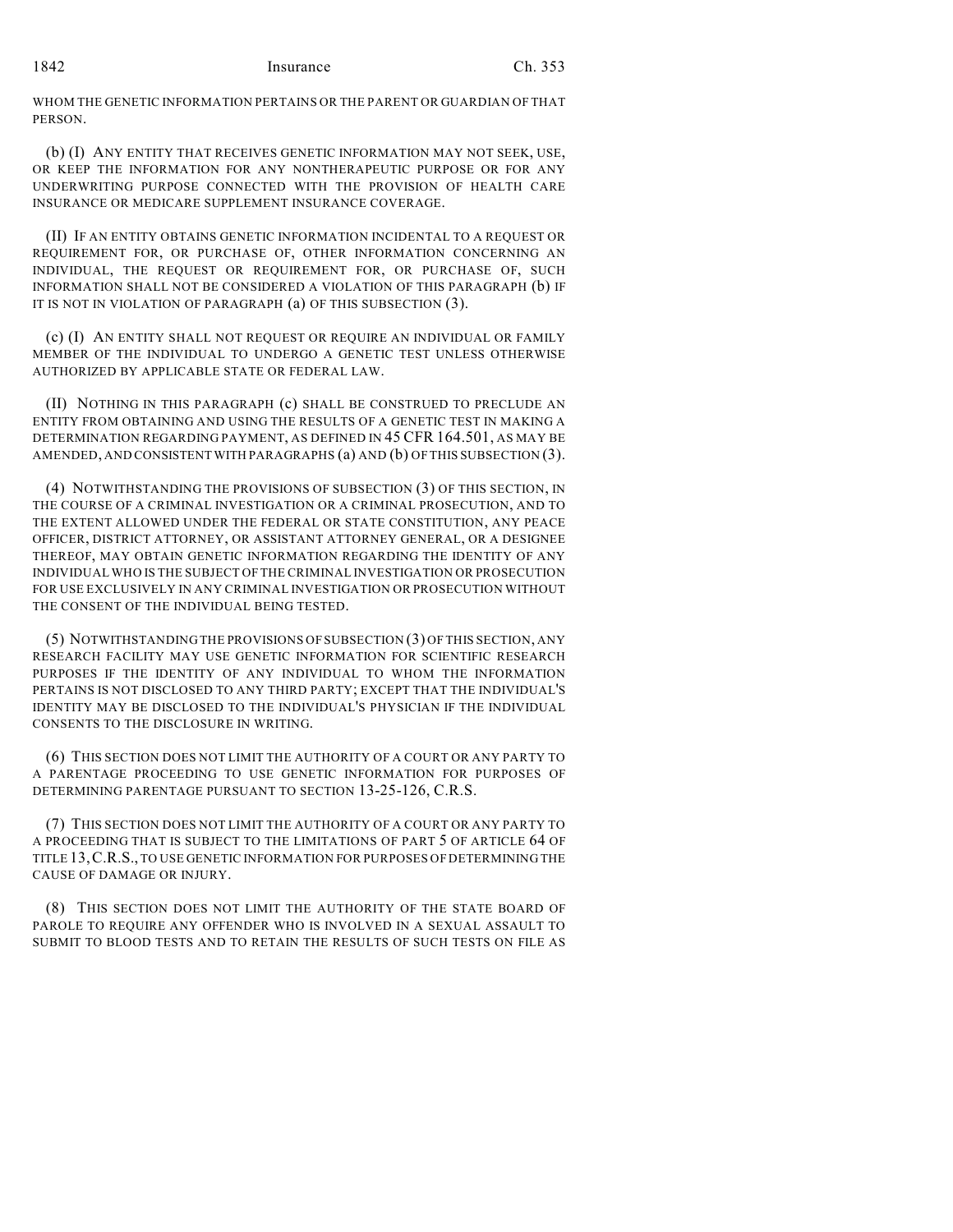WHOM THE GENETIC INFORMATION PERTAINS OR THE PARENT OR GUARDIAN OF THAT PERSON.

(b) (I) ANY ENTITY THAT RECEIVES GENETIC INFORMATION MAY NOT SEEK, USE, OR KEEP THE INFORMATION FOR ANY NONTHERAPEUTIC PURPOSE OR FOR ANY UNDERWRITING PURPOSE CONNECTED WITH THE PROVISION OF HEALTH CARE INSURANCE OR MEDICARE SUPPLEMENT INSURANCE COVERAGE.

(II) IF AN ENTITY OBTAINS GENETIC INFORMATION INCIDENTAL TO A REQUEST OR REQUIREMENT FOR, OR PURCHASE OF, OTHER INFORMATION CONCERNING AN INDIVIDUAL, THE REQUEST OR REQUIREMENT FOR, OR PURCHASE OF, SUCH INFORMATION SHALL NOT BE CONSIDERED A VIOLATION OF THIS PARAGRAPH (b) IF IT IS NOT IN VIOLATION OF PARAGRAPH (a) OF THIS SUBSECTION (3).

(c) (I) AN ENTITY SHALL NOT REQUEST OR REQUIRE AN INDIVIDUAL OR FAMILY MEMBER OF THE INDIVIDUAL TO UNDERGO A GENETIC TEST UNLESS OTHERWISE AUTHORIZED BY APPLICABLE STATE OR FEDERAL LAW.

(II) NOTHING IN THIS PARAGRAPH (c) SHALL BE CONSTRUED TO PRECLUDE AN ENTITY FROM OBTAINING AND USING THE RESULTS OF A GENETIC TEST IN MAKING A DETERMINATION REGARDING PAYMENT, AS DEFINED IN 45 CFR 164.501, AS MAY BE AMENDED, AND CONSISTENT WITH PARAGRAPHS (a) AND (b) OF THIS SUBSECTION (3).

(4) NOTWITHSTANDING THE PROVISIONS OF SUBSECTION (3) OF THIS SECTION, IN THE COURSE OF A CRIMINAL INVESTIGATION OR A CRIMINAL PROSECUTION, AND TO THE EXTENT ALLOWED UNDER THE FEDERAL OR STATE CONSTITUTION, ANY PEACE OFFICER, DISTRICT ATTORNEY, OR ASSISTANT ATTORNEY GENERAL, OR A DESIGNEE THEREOF, MAY OBTAIN GENETIC INFORMATION REGARDING THE IDENTITY OF ANY INDIVIDUAL WHO IS THE SUBJECT OF THE CRIMINAL INVESTIGATION OR PROSECUTION FOR USE EXCLUSIVELY IN ANY CRIMINAL INVESTIGATION OR PROSECUTION WITHOUT THE CONSENT OF THE INDIVIDUAL BEING TESTED.

(5) NOTWITHSTANDING THE PROVISIONS OF SUBSECTION (3) OF THIS SECTION, ANY RESEARCH FACILITY MAY USE GENETIC INFORMATION FOR SCIENTIFIC RESEARCH PURPOSES IF THE IDENTITY OF ANY INDIVIDUAL TO WHOM THE INFORMATION PERTAINS IS NOT DISCLOSED TO ANY THIRD PARTY; EXCEPT THAT THE INDIVIDUAL'S IDENTITY MAY BE DISCLOSED TO THE INDIVIDUAL'S PHYSICIAN IF THE INDIVIDUAL CONSENTS TO THE DISCLOSURE IN WRITING.

(6) THIS SECTION DOES NOT LIMIT THE AUTHORITY OF A COURT OR ANY PARTY TO A PARENTAGE PROCEEDING TO USE GENETIC INFORMATION FOR PURPOSES OF DETERMINING PARENTAGE PURSUANT TO SECTION 13-25-126, C.R.S.

(7) THIS SECTION DOES NOT LIMIT THE AUTHORITY OF A COURT OR ANY PARTY TO A PROCEEDING THAT IS SUBJECT TO THE LIMITATIONS OF PART 5 OF ARTICLE 64 OF TITLE 13,C.R.S., TO USE GENETIC INFORMATION FOR PURPOSES OF DETERMINING THE CAUSE OF DAMAGE OR INJURY.

(8) THIS SECTION DOES NOT LIMIT THE AUTHORITY OF THE STATE BOARD OF PAROLE TO REQUIRE ANY OFFENDER WHO IS INVOLVED IN A SEXUAL ASSAULT TO SUBMIT TO BLOOD TESTS AND TO RETAIN THE RESULTS OF SUCH TESTS ON FILE AS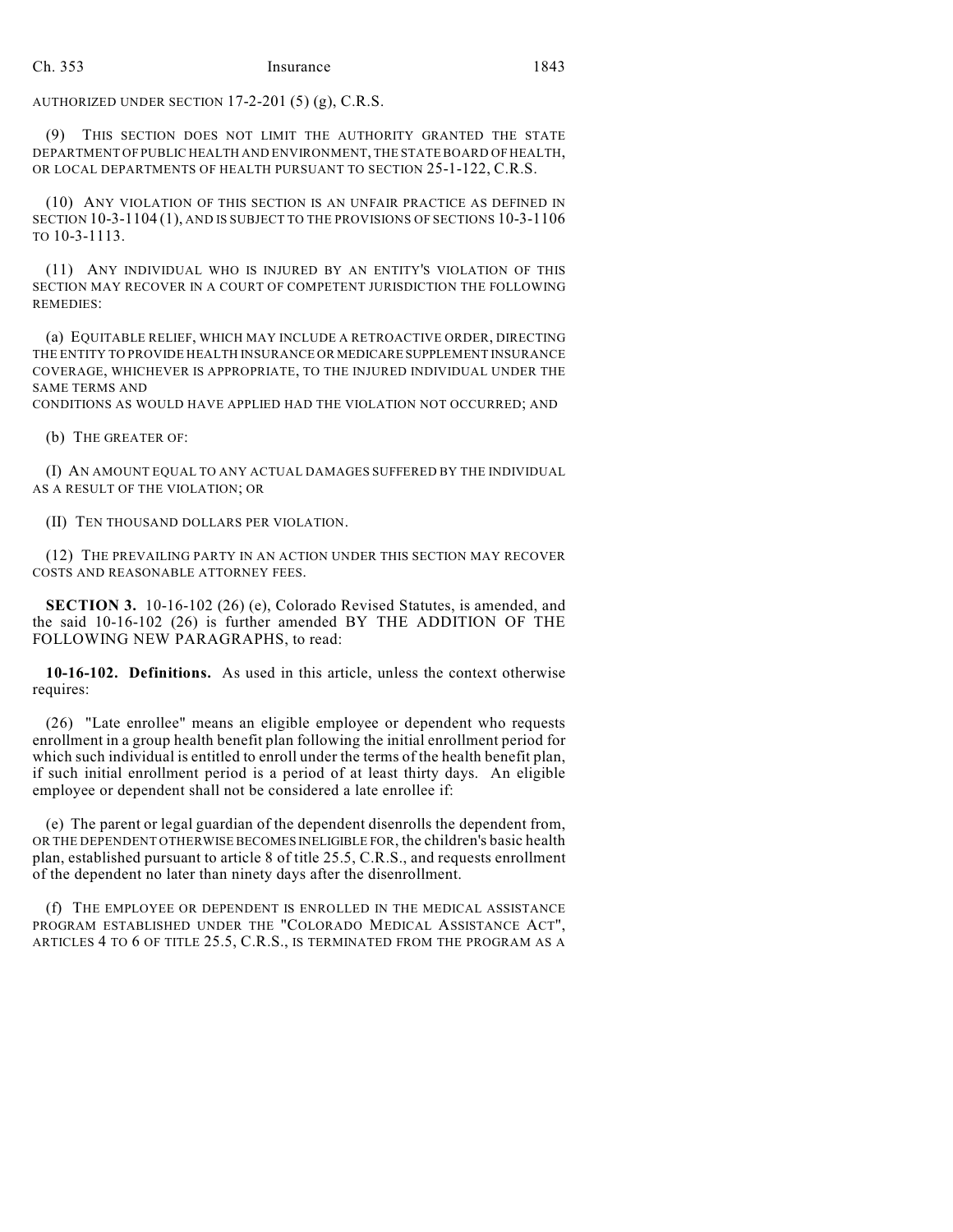AUTHORIZED UNDER SECTION 17-2-201 (5) (g), C.R.S.

(9) THIS SECTION DOES NOT LIMIT THE AUTHORITY GRANTED THE STATE DEPARTMENT OF PUBLIC HEALTH AND ENVIRONMENT, THE STATE BOARD OF HEALTH, OR LOCAL DEPARTMENTS OF HEALTH PURSUANT TO SECTION 25-1-122, C.R.S.

(10) ANY VIOLATION OF THIS SECTION IS AN UNFAIR PRACTICE AS DEFINED IN SECTION 10-3-1104 (1), AND IS SUBJECT TO THE PROVISIONS OF SECTIONS 10-3-1106 TO 10-3-1113.

(11) ANY INDIVIDUAL WHO IS INJURED BY AN ENTITY'S VIOLATION OF THIS SECTION MAY RECOVER IN A COURT OF COMPETENT JURISDICTION THE FOLLOWING REMEDIES:

(a) EQUITABLE RELIEF, WHICH MAY INCLUDE A RETROACTIVE ORDER, DIRECTING THE ENTITY TO PROVIDE HEALTH INSURANCE OR MEDICARE SUPPLEMENT INSURANCE COVERAGE, WHICHEVER IS APPROPRIATE, TO THE INJURED INDIVIDUAL UNDER THE SAME TERMS AND

CONDITIONS AS WOULD HAVE APPLIED HAD THE VIOLATION NOT OCCURRED; AND

(b) THE GREATER OF:

(I) AN AMOUNT EQUAL TO ANY ACTUAL DAMAGES SUFFERED BY THE INDIVIDUAL AS A RESULT OF THE VIOLATION; OR

(II) TEN THOUSAND DOLLARS PER VIOLATION.

(12) THE PREVAILING PARTY IN AN ACTION UNDER THIS SECTION MAY RECOVER COSTS AND REASONABLE ATTORNEY FEES.

**SECTION 3.** 10-16-102 (26) (e), Colorado Revised Statutes, is amended, and the said 10-16-102 (26) is further amended BY THE ADDITION OF THE FOLLOWING NEW PARAGRAPHS, to read:

**10-16-102. Definitions.** As used in this article, unless the context otherwise requires:

(26) "Late enrollee" means an eligible employee or dependent who requests enrollment in a group health benefit plan following the initial enrollment period for which such individual is entitled to enroll under the terms of the health benefit plan, if such initial enrollment period is a period of at least thirty days. An eligible employee or dependent shall not be considered a late enrollee if:

(e) The parent or legal guardian of the dependent disenrolls the dependent from, OR THE DEPENDENT OTHERWISE BECOMES INELIGIBLE FOR, the children's basic health plan, established pursuant to article 8 of title 25.5, C.R.S., and requests enrollment of the dependent no later than ninety days after the disenrollment.

(f) THE EMPLOYEE OR DEPENDENT IS ENROLLED IN THE MEDICAL ASSISTANCE PROGRAM ESTABLISHED UNDER THE "COLORADO MEDICAL ASSISTANCE ACT", ARTICLES 4 TO 6 OF TITLE 25.5, C.R.S., IS TERMINATED FROM THE PROGRAM AS A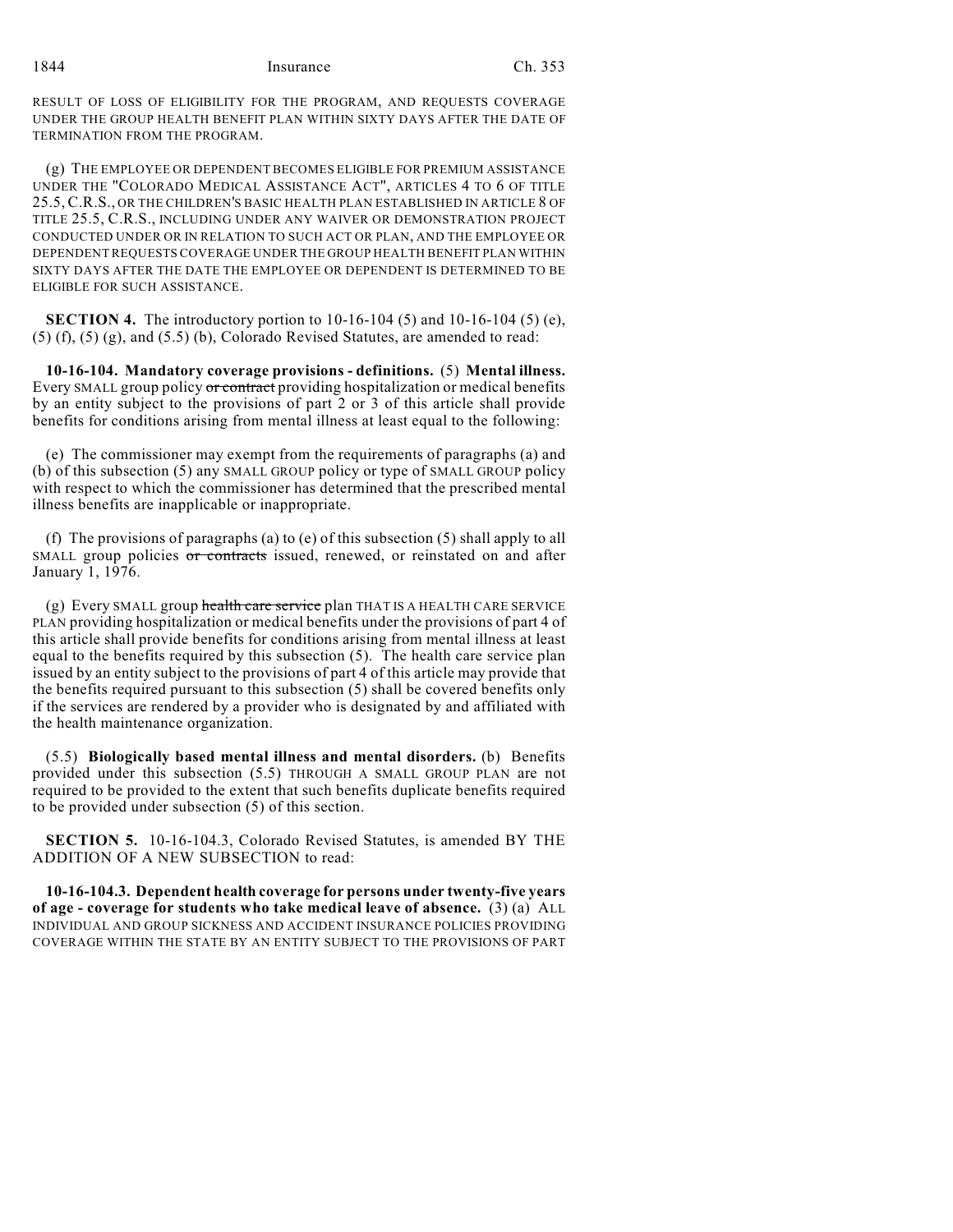1844 Insurance Ch. 353

RESULT OF LOSS OF ELIGIBILITY FOR THE PROGRAM, AND REQUESTS COVERAGE UNDER THE GROUP HEALTH BENEFIT PLAN WITHIN SIXTY DAYS AFTER THE DATE OF TERMINATION FROM THE PROGRAM.

(g) THE EMPLOYEE OR DEPENDENT BECOMES ELIGIBLE FOR PREMIUM ASSISTANCE UNDER THE "COLORADO MEDICAL ASSISTANCE ACT", ARTICLES 4 TO 6 OF TITLE 25.5, C.R.S., OR THE CHILDREN'S BASIC HEALTH PLAN ESTABLISHED IN ARTICLE 8 OF TITLE 25.5, C.R.S., INCLUDING UNDER ANY WAIVER OR DEMONSTRATION PROJECT CONDUCTED UNDER OR IN RELATION TO SUCH ACT OR PLAN, AND THE EMPLOYEE OR DEPENDENT REQUESTS COVERAGE UNDER THE GROUP HEALTH BENEFIT PLAN WITHIN SIXTY DAYS AFTER THE DATE THE EMPLOYEE OR DEPENDENT IS DETERMINED TO BE ELIGIBLE FOR SUCH ASSISTANCE.

**SECTION 4.** The introductory portion to 10-16-104 (5) and 10-16-104 (5) (e),  $(5)$   $(f)$ ,  $(5)$   $(g)$ , and  $(5.5)$   $(b)$ , Colorado Revised Statutes, are amended to read:

**10-16-104. Mandatory coverage provisions - definitions.** (5) **Mental illness.** Every SMALL group policy or contract providing hospitalization or medical benefits by an entity subject to the provisions of part 2 or 3 of this article shall provide benefits for conditions arising from mental illness at least equal to the following:

(e) The commissioner may exempt from the requirements of paragraphs (a) and (b) of this subsection (5) any SMALL GROUP policy or type of SMALL GROUP policy with respect to which the commissioner has determined that the prescribed mental illness benefits are inapplicable or inappropriate.

(f) The provisions of paragraphs (a) to (e) of this subsection (5) shall apply to all SMALL group policies or contracts issued, renewed, or reinstated on and after January 1, 1976.

(g) Every SMALL group health care service plan THAT IS A HEALTH CARE SERVICE PLAN providing hospitalization or medical benefits under the provisions of part 4 of this article shall provide benefits for conditions arising from mental illness at least equal to the benefits required by this subsection (5). The health care service plan issued by an entity subject to the provisions of part 4 of this article may provide that the benefits required pursuant to this subsection (5) shall be covered benefits only if the services are rendered by a provider who is designated by and affiliated with the health maintenance organization.

(5.5) **Biologically based mental illness and mental disorders.** (b) Benefits provided under this subsection (5.5) THROUGH A SMALL GROUP PLAN are not required to be provided to the extent that such benefits duplicate benefits required to be provided under subsection (5) of this section.

**SECTION 5.** 10-16-104.3, Colorado Revised Statutes, is amended BY THE ADDITION OF A NEW SUBSECTION to read:

**10-16-104.3. Dependent health coverage for persons under twenty-five years of age - coverage for students who take medical leave of absence.** (3) (a) ALL INDIVIDUAL AND GROUP SICKNESS AND ACCIDENT INSURANCE POLICIES PROVIDING COVERAGE WITHIN THE STATE BY AN ENTITY SUBJECT TO THE PROVISIONS OF PART